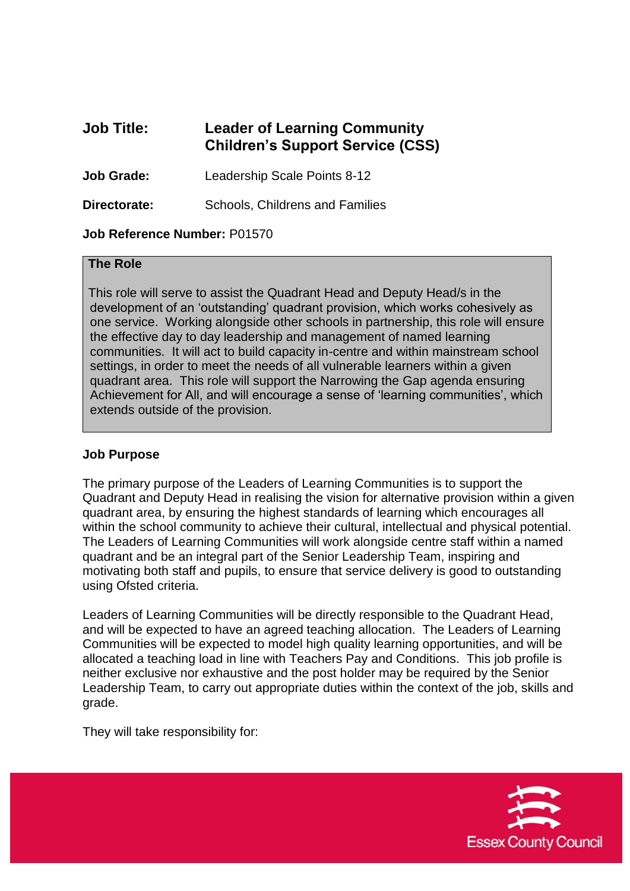# **Job Title: Leader of Learning Community Children's Support Service (CSS)**

**Job Grade:** Leadership Scale Points 8-12

**Directorate:** Schools, Childrens and Families

### **Job Reference Number:** P01570

#### **The Role**

This role will serve to assist the Quadrant Head and Deputy Head/s in the development of an 'outstanding' quadrant provision, which works cohesively as one service. Working alongside other schools in partnership, this role will ensure the effective day to day leadership and management of named learning communities. It will act to build capacity in-centre and within mainstream school settings, in order to meet the needs of all vulnerable learners within a given quadrant area. This role will support the Narrowing the Gap agenda ensuring Achievement for All, and will encourage a sense of 'learning communities', which extends outside of the provision.

### **Job Purpose**

The primary purpose of the Leaders of Learning Communities is to support the Quadrant and Deputy Head in realising the vision for alternative provision within a given quadrant area, by ensuring the highest standards of learning which encourages all within the school community to achieve their cultural, intellectual and physical potential. The Leaders of Learning Communities will work alongside centre staff within a named quadrant and be an integral part of the Senior Leadership Team, inspiring and motivating both staff and pupils, to ensure that service delivery is good to outstanding using Ofsted criteria.

Leaders of Learning Communities will be directly responsible to the Quadrant Head, and will be expected to have an agreed teaching allocation. The Leaders of Learning Communities will be expected to model high quality learning opportunities, and will be allocated a teaching load in line with Teachers Pay and Conditions. This job profile is neither exclusive nor exhaustive and the post holder may be required by the Senior Leadership Team, to carry out appropriate duties within the context of the job, skills and grade.

They will take responsibility for:

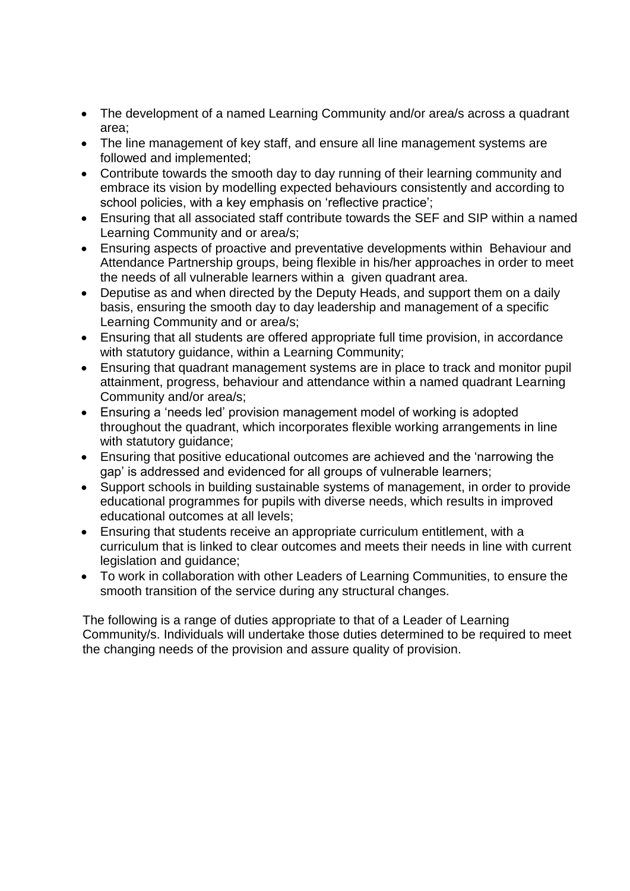- The development of a named Learning Community and/or area/s across a quadrant area;
- The line management of key staff, and ensure all line management systems are followed and implemented;
- Contribute towards the smooth day to day running of their learning community and embrace its vision by modelling expected behaviours consistently and according to school policies, with a key emphasis on 'reflective practice';
- Ensuring that all associated staff contribute towards the SEF and SIP within a named Learning Community and or area/s;
- Ensuring aspects of proactive and preventative developments within Behaviour and Attendance Partnership groups, being flexible in his/her approaches in order to meet the needs of all vulnerable learners within a given quadrant area.
- Deputise as and when directed by the Deputy Heads, and support them on a daily basis, ensuring the smooth day to day leadership and management of a specific Learning Community and or area/s;
- Ensuring that all students are offered appropriate full time provision, in accordance with statutory guidance, within a Learning Community;
- Ensuring that quadrant management systems are in place to track and monitor pupil attainment, progress, behaviour and attendance within a named quadrant Learning Community and/or area/s;
- Ensuring a 'needs led' provision management model of working is adopted throughout the quadrant, which incorporates flexible working arrangements in line with statutory guidance;
- Ensuring that positive educational outcomes are achieved and the 'narrowing the gap' is addressed and evidenced for all groups of vulnerable learners;
- Support schools in building sustainable systems of management, in order to provide educational programmes for pupils with diverse needs, which results in improved educational outcomes at all levels;
- Ensuring that students receive an appropriate curriculum entitlement, with a curriculum that is linked to clear outcomes and meets their needs in line with current legislation and guidance;
- To work in collaboration with other Leaders of Learning Communities, to ensure the smooth transition of the service during any structural changes.

The following is a range of duties appropriate to that of a Leader of Learning Community/s. Individuals will undertake those duties determined to be required to meet the changing needs of the provision and assure quality of provision.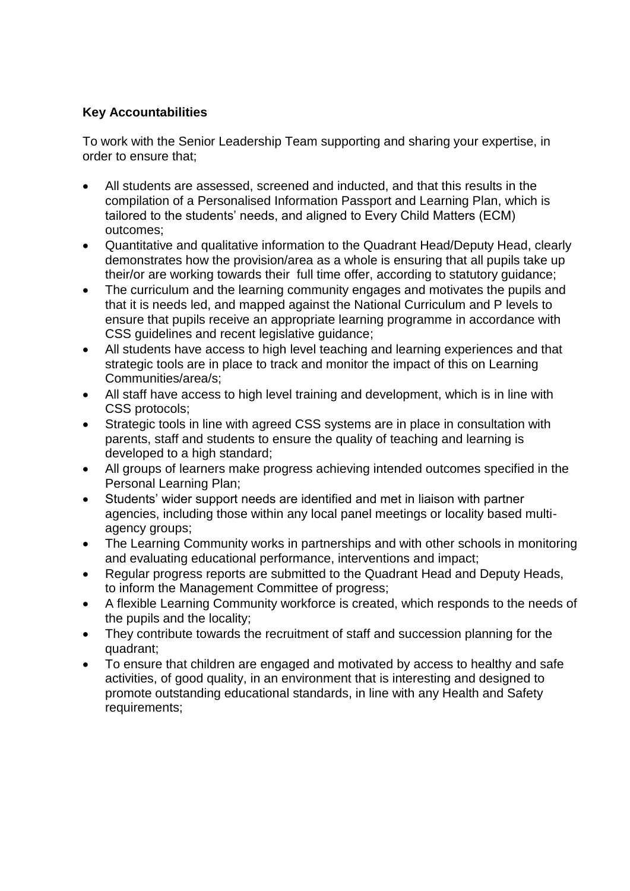# **Key Accountabilities**

To work with the Senior Leadership Team supporting and sharing your expertise, in order to ensure that;

- All students are assessed, screened and inducted, and that this results in the compilation of a Personalised Information Passport and Learning Plan, which is tailored to the students' needs, and aligned to Every Child Matters (ECM) outcomes;
- Quantitative and qualitative information to the Quadrant Head/Deputy Head, clearly demonstrates how the provision/area as a whole is ensuring that all pupils take up their/or are working towards their full time offer, according to statutory guidance;
- The curriculum and the learning community engages and motivates the pupils and that it is needs led, and mapped against the National Curriculum and P levels to ensure that pupils receive an appropriate learning programme in accordance with CSS guidelines and recent legislative guidance;
- All students have access to high level teaching and learning experiences and that strategic tools are in place to track and monitor the impact of this on Learning Communities/area/s;
- All staff have access to high level training and development, which is in line with CSS protocols;
- Strategic tools in line with agreed CSS systems are in place in consultation with parents, staff and students to ensure the quality of teaching and learning is developed to a high standard;
- All groups of learners make progress achieving intended outcomes specified in the Personal Learning Plan;
- Students' wider support needs are identified and met in liaison with partner agencies, including those within any local panel meetings or locality based multiagency groups;
- The Learning Community works in partnerships and with other schools in monitoring and evaluating educational performance, interventions and impact;
- Regular progress reports are submitted to the Quadrant Head and Deputy Heads, to inform the Management Committee of progress;
- A flexible Learning Community workforce is created, which responds to the needs of the pupils and the locality;
- They contribute towards the recruitment of staff and succession planning for the quadrant;
- To ensure that children are engaged and motivated by access to healthy and safe activities, of good quality, in an environment that is interesting and designed to promote outstanding educational standards, in line with any Health and Safety requirements;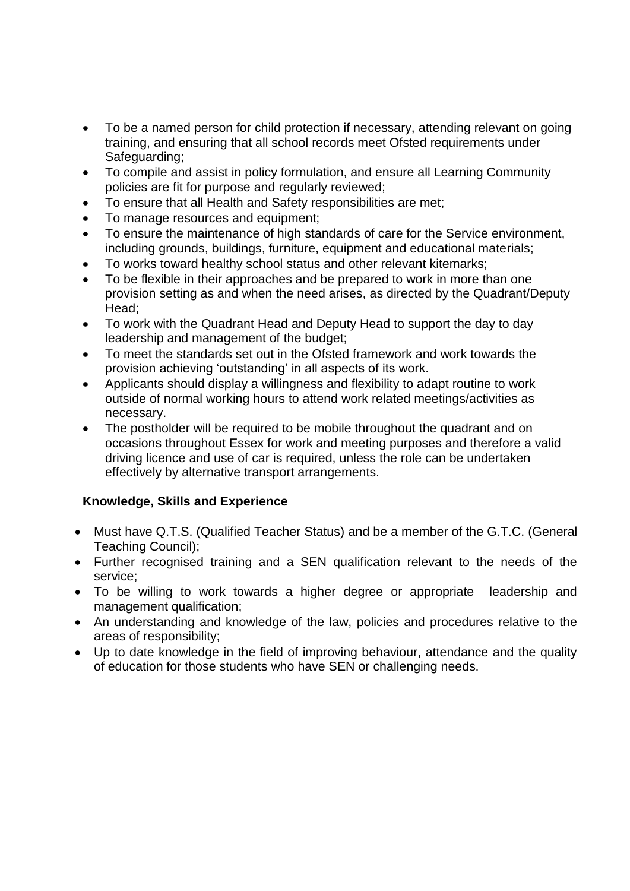- To be a named person for child protection if necessary, attending relevant on going training, and ensuring that all school records meet Ofsted requirements under Safeguarding:
- To compile and assist in policy formulation, and ensure all Learning Community policies are fit for purpose and regularly reviewed;
- To ensure that all Health and Safety responsibilities are met;
- To manage resources and equipment;
- To ensure the maintenance of high standards of care for the Service environment, including grounds, buildings, furniture, equipment and educational materials;
- To works toward healthy school status and other relevant kitemarks;
- To be flexible in their approaches and be prepared to work in more than one provision setting as and when the need arises, as directed by the Quadrant/Deputy Head;
- To work with the Quadrant Head and Deputy Head to support the day to day leadership and management of the budget;
- To meet the standards set out in the Ofsted framework and work towards the provision achieving 'outstanding' in all aspects of its work.
- Applicants should display a willingness and flexibility to adapt routine to work outside of normal working hours to attend work related meetings/activities as necessary.
- The postholder will be required to be mobile throughout the quadrant and on occasions throughout Essex for work and meeting purposes and therefore a valid driving licence and use of car is required, unless the role can be undertaken effectively by alternative transport arrangements.

# **Knowledge, Skills and Experience**

- Must have Q.T.S. (Qualified Teacher Status) and be a member of the G.T.C. (General Teaching Council);
- Further recognised training and a SEN qualification relevant to the needs of the service;
- To be willing to work towards a higher degree or appropriate leadership and management qualification;
- An understanding and knowledge of the law, policies and procedures relative to the areas of responsibility;
- Up to date knowledge in the field of improving behaviour, attendance and the quality of education for those students who have SEN or challenging needs.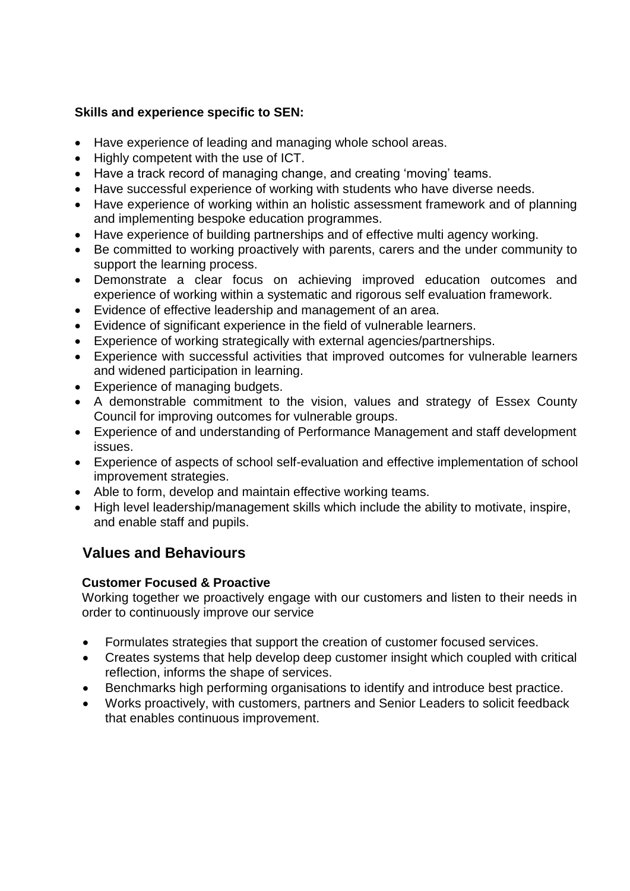# **Skills and experience specific to SEN:**

- Have experience of leading and managing whole school areas.
- Highly competent with the use of ICT.
- Have a track record of managing change, and creating 'moving' teams.
- Have successful experience of working with students who have diverse needs.
- Have experience of working within an holistic assessment framework and of planning and implementing bespoke education programmes.
- Have experience of building partnerships and of effective multi agency working.
- Be committed to working proactively with parents, carers and the under community to support the learning process.
- Demonstrate a clear focus on achieving improved education outcomes and experience of working within a systematic and rigorous self evaluation framework.
- Evidence of effective leadership and management of an area.
- Evidence of significant experience in the field of vulnerable learners.
- Experience of working strategically with external agencies/partnerships.
- Experience with successful activities that improved outcomes for vulnerable learners and widened participation in learning.
- Experience of managing budgets.
- A demonstrable commitment to the vision, values and strategy of Essex County Council for improving outcomes for vulnerable groups.
- Experience of and understanding of Performance Management and staff development issues.
- Experience of aspects of school self-evaluation and effective implementation of school improvement strategies.
- Able to form, develop and maintain effective working teams.
- High level leadership/management skills which include the ability to motivate, inspire, and enable staff and pupils.

# **Values and Behaviours**

# **Customer Focused & Proactive**

Working together we proactively engage with our customers and listen to their needs in order to continuously improve our service

- Formulates strategies that support the creation of customer focused services.
- Creates systems that help develop deep customer insight which coupled with critical reflection, informs the shape of services.
- Benchmarks high performing organisations to identify and introduce best practice.
- Works proactively, with customers, partners and Senior Leaders to solicit feedback that enables continuous improvement.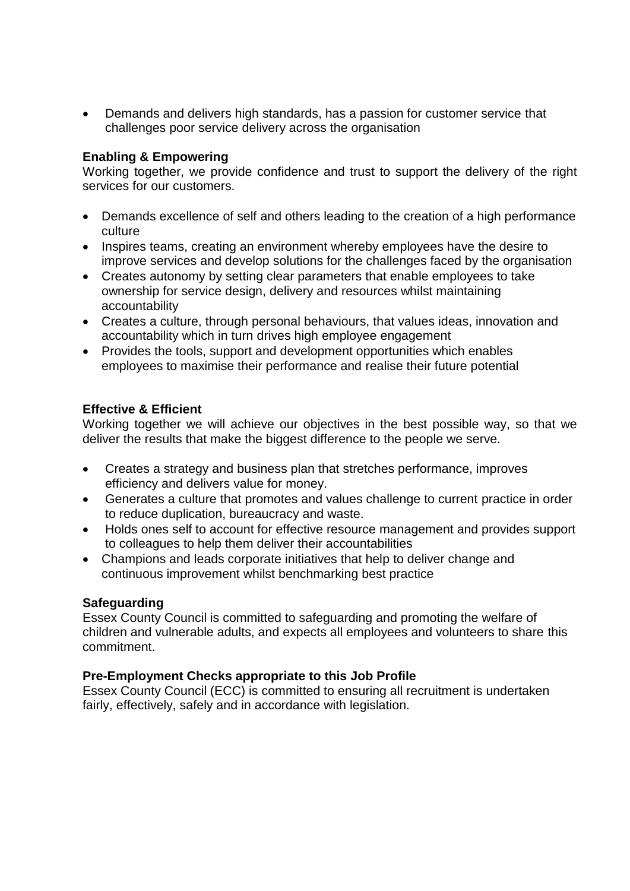Demands and delivers high standards, has a passion for customer service that challenges poor service delivery across the organisation

## **Enabling & Empowering**

Working together, we provide confidence and trust to support the delivery of the right services for our customers.

- Demands excellence of self and others leading to the creation of a high performance culture
- Inspires teams, creating an environment whereby employees have the desire to improve services and develop solutions for the challenges faced by the organisation
- Creates autonomy by setting clear parameters that enable employees to take ownership for service design, delivery and resources whilst maintaining accountability
- Creates a culture, through personal behaviours, that values ideas, innovation and accountability which in turn drives high employee engagement
- Provides the tools, support and development opportunities which enables employees to maximise their performance and realise their future potential

### **Effective & Efficient**

Working together we will achieve our objectives in the best possible way, so that we deliver the results that make the biggest difference to the people we serve.

- Creates a strategy and business plan that stretches performance, improves efficiency and delivers value for money.
- Generates a culture that promotes and values challenge to current practice in order to reduce duplication, bureaucracy and waste.
- Holds ones self to account for effective resource management and provides support to colleagues to help them deliver their accountabilities
- Champions and leads corporate initiatives that help to deliver change and continuous improvement whilst benchmarking best practice

# **Safeguarding**

Essex County Council is committed to safeguarding and promoting the welfare of children and vulnerable adults, and expects all employees and volunteers to share this commitment.

# **Pre-Employment Checks appropriate to this Job Profile**

Essex County Council (ECC) is committed to ensuring all recruitment is undertaken fairly, effectively, safely and in accordance with legislation.